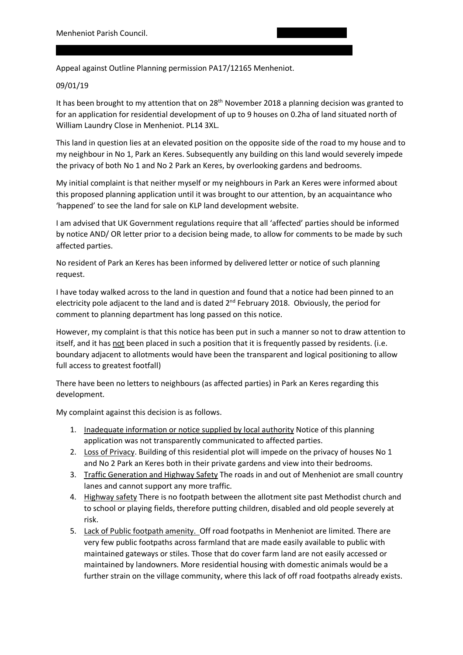Appeal against Outline Planning permission PA17/12165 Menheniot.

Menheniot. PL14 3FT.

## 09/01/19

It has been brought to my attention that on 28<sup>th</sup> November 2018 a planning decision was granted to for an application for residential development of up to 9 houses on 0.2ha of land situated north of William Laundry Close in Menheniot. PL14 3XL.

This land in question lies at an elevated position on the opposite side of the road to my house and to my neighbour in No 1, Park an Keres. Subsequently any building on this land would severely impede the privacy of both No 1 and No 2 Park an Keres, by overlooking gardens and bedrooms.

My initial complaint is that neither myself or my neighbours in Park an Keres were informed about this proposed planning application until it was brought to our attention, by an acquaintance who 'happened' to see the land for sale on KLP land development website.

I am advised that UK Government regulations require that all 'affected' parties should be informed by notice AND/ OR letter prior to a decision being made, to allow for comments to be made by such affected parties.

No resident of Park an Keres has been informed by delivered letter or notice of such planning request.

I have today walked across to the land in question and found that a notice had been pinned to an electricity pole adjacent to the land and is dated 2<sup>nd</sup> February 2018. Obviously, the period for comment to planning department has long passed on this notice.

However, my complaint is that this notice has been put in such a manner so not to draw attention to itself, and it has not been placed in such a position that it is frequently passed by residents. (i.e. boundary adjacent to allotments would have been the transparent and logical positioning to allow full access to greatest footfall)

There have been no letters to neighbours (as affected parties) in Park an Keres regarding this development.

My complaint against this decision is as follows.

- 1. Inadequate information or notice supplied by local authority Notice of this planning application was not transparently communicated to affected parties.
- 2. Loss of Privacy. Building of this residential plot will impede on the privacy of houses No 1 and No 2 Park an Keres both in their private gardens and view into their bedrooms.
- 3. Traffic Generation and Highway Safety The roads in and out of Menheniot are small country lanes and cannot support any more traffic.
- 4. Highway safety There is no footpath between the allotment site past Methodist church and to school or playing fields, therefore putting children, disabled and old people severely at risk.
- 5. Lack of Public footpath amenity. Off road footpaths in Menheniot are limited. There are very few public footpaths across farmland that are made easily available to public with maintained gateways or stiles. Those that do cover farm land are not easily accessed or maintained by landowners. More residential housing with domestic animals would be a further strain on the village community, where this lack of off road footpaths already exists.